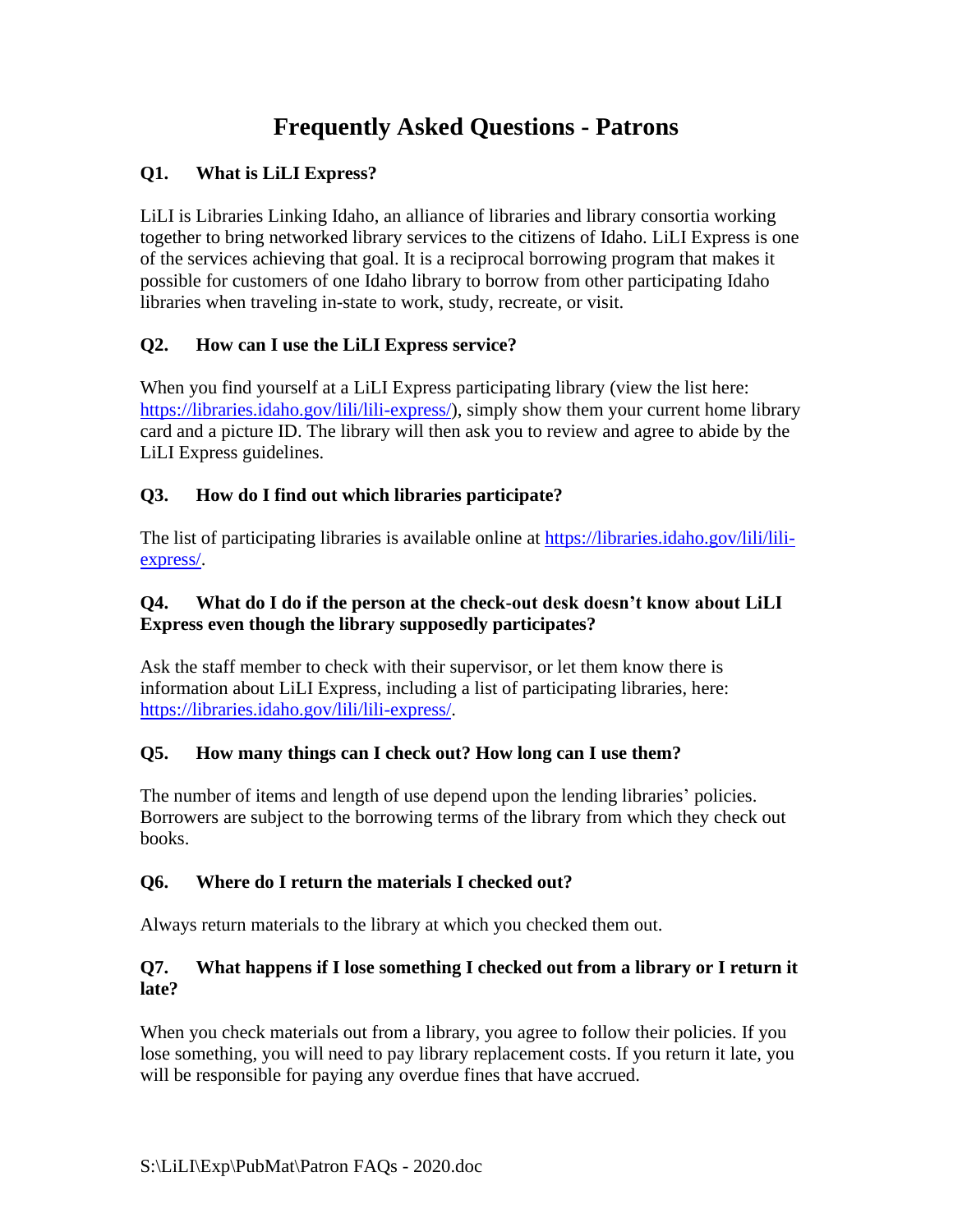# **Frequently Asked Questions - Patrons**

# **Q1. What is LiLI Express?**

LiLI is Libraries Linking Idaho, an alliance of libraries and library consortia working together to bring networked library services to the citizens of Idaho. LiLI Express is one of the services achieving that goal. It is a reciprocal borrowing program that makes it possible for customers of one Idaho library to borrow from other participating Idaho libraries when traveling in-state to work, study, recreate, or visit.

## **Q2. How can I use the LiLI Express service?**

When you find yourself at a LiLI Express participating library (view the list here: [https://libraries.idaho.gov/lili/lili-express/\)](https://libraries.idaho.gov/lili/lili-express/), simply show them your current home library card and a picture ID. The library will then ask you to review and agree to abide by the LiLI Express guidelines.

## **Q3. How do I find out which libraries participate?**

The list of participating libraries is available online at [https://libraries.idaho.gov/lili/lili](https://libraries.idaho.gov/lili/lili-express/)[express/.](https://libraries.idaho.gov/lili/lili-express/)

#### **Q4. What do I do if the person at the check-out desk doesn't know about LiLI Express even though the library supposedly participates?**

Ask the staff member to check with their supervisor, or let them know there is information about LiLI Express, including a list of participating libraries, here: [https://libraries.idaho.gov/lili/lili-express/.](https://libraries.idaho.gov/lili/lili-express/)

## **Q5. How many things can I check out? How long can I use them?**

The number of items and length of use depend upon the lending libraries' policies. Borrowers are subject to the borrowing terms of the library from which they check out books.

## **Q6. Where do I return the materials I checked out?**

Always return materials to the library at which you checked them out.

#### **Q7. What happens if I lose something I checked out from a library or I return it late?**

When you check materials out from a library, you agree to follow their policies. If you lose something, you will need to pay library replacement costs. If you return it late, you will be responsible for paying any overdue fines that have accrued.